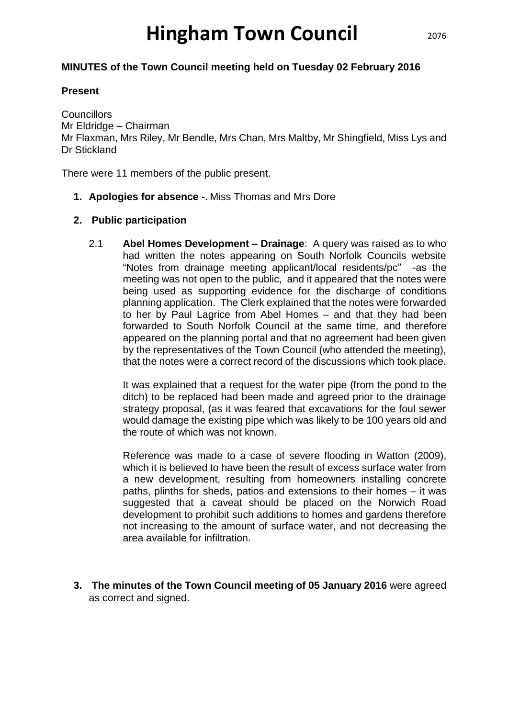# **Hingham Town Council**

## **MINUTES of the Town Council meeting held on Tuesday 02 February 2016**

#### **Present**

**Councillors** Mr Eldridge – Chairman Mr Flaxman, Mrs Riley, Mr Bendle, Mrs Chan, Mrs Maltby, Mr Shingfield, Miss Lys and Dr Stickland

There were 11 members of the public present.

**1. Apologies for absence -**. Miss Thomas and Mrs Dore

## **2. Public participation**

2.1 **Abel Homes Development – Drainage**: A query was raised as to who had written the notes appearing on South Norfolk Councils website "Notes from drainage meeting applicant/local residents/pc" -as the meeting was not open to the public, and it appeared that the notes were being used as supporting evidence for the discharge of conditions planning application. The Clerk explained that the notes were forwarded to her by Paul Lagrice from Abel Homes – and that they had been forwarded to South Norfolk Council at the same time, and therefore appeared on the planning portal and that no agreement had been given by the representatives of the Town Council (who attended the meeting), that the notes were a correct record of the discussions which took place.

It was explained that a request for the water pipe (from the pond to the ditch) to be replaced had been made and agreed prior to the drainage strategy proposal, (as it was feared that excavations for the foul sewer would damage the existing pipe which was likely to be 100 years old and the route of which was not known.

Reference was made to a case of severe flooding in Watton (2009), which it is believed to have been the result of excess surface water from a new development, resulting from homeowners installing concrete paths, plinths for sheds, patios and extensions to their homes – it was suggested that a caveat should be placed on the Norwich Road development to prohibit such additions to homes and gardens therefore not increasing to the amount of surface water, and not decreasing the area available for infiltration.

**3. The minutes of the Town Council meeting of 05 January 2016** were agreed as correct and signed.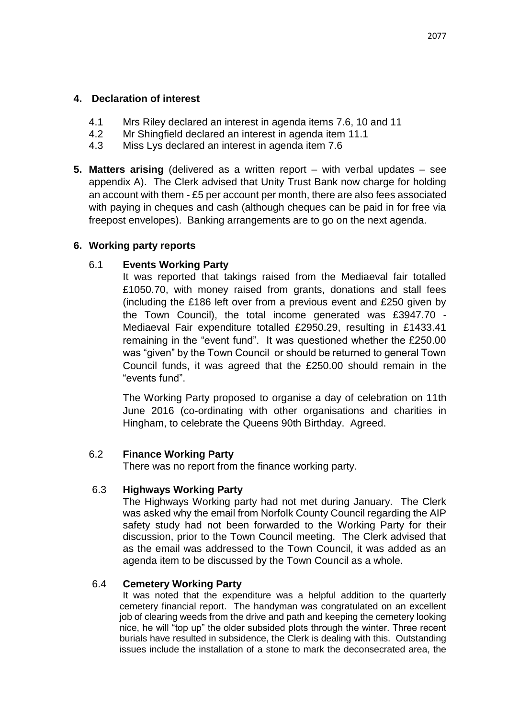- 4.1 Mrs Riley declared an interest in agenda items 7.6, 10 and 11
- 4.2 Mr Shingfield declared an interest in agenda item 11.1
- 4.3 Miss Lys declared an interest in agenda item 7.6
- **5. Matters arising** (delivered as a written report with verbal updates see appendix A). The Clerk advised that Unity Trust Bank now charge for holding an account with them - £5 per account per month, there are also fees associated with paying in cheques and cash (although cheques can be paid in for free via freepost envelopes). Banking arrangements are to go on the next agenda.

## **6. Working party reports**

## 6.1 **Events Working Party**

It was reported that takings raised from the Mediaeval fair totalled £1050.70, with money raised from grants, donations and stall fees (including the £186 left over from a previous event and £250 given by the Town Council), the total income generated was £3947.70 - Mediaeval Fair expenditure totalled £2950.29, resulting in £1433.41 remaining in the "event fund". It was questioned whether the £250.00 was "given" by the Town Council or should be returned to general Town Council funds, it was agreed that the £250.00 should remain in the "events fund".

The Working Party proposed to organise a day of celebration on 11th June 2016 (co-ordinating with other organisations and charities in Hingham, to celebrate the Queens 90th Birthday. Agreed.

## 6.2 **Finance Working Party**

There was no report from the finance working party.

## 6.3 **Highways Working Party**

The Highways Working party had not met during January. The Clerk was asked why the email from Norfolk County Council regarding the AIP safety study had not been forwarded to the Working Party for their discussion, prior to the Town Council meeting. The Clerk advised that as the email was addressed to the Town Council, it was added as an agenda item to be discussed by the Town Council as a whole.

## 6.4 **Cemetery Working Party**

It was noted that the expenditure was a helpful addition to the quarterly cemetery financial report. The handyman was congratulated on an excellent job of clearing weeds from the drive and path and keeping the cemetery looking nice, he will "top up" the older subsided plots through the winter. Three recent burials have resulted in subsidence, the Clerk is dealing with this. Outstanding issues include the installation of a stone to mark the deconsecrated area, the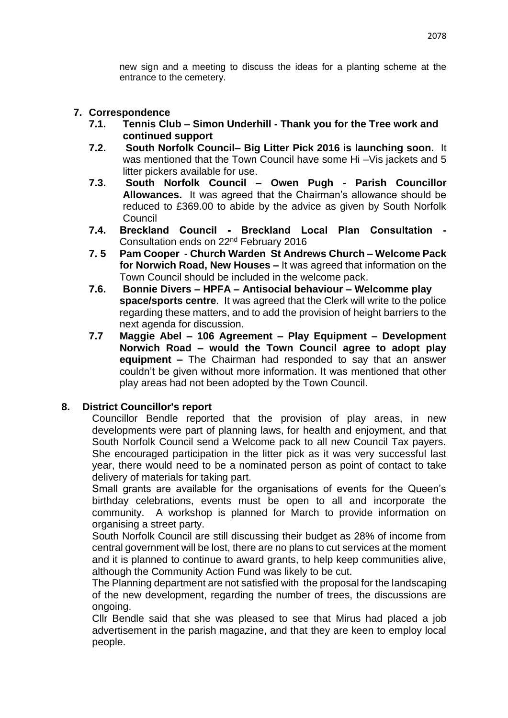new sign and a meeting to discuss the ideas for a planting scheme at the entrance to the cemetery.

## **7. Correspondence**

- **7.1. Tennis Club – Simon Underhill - Thank you for the Tree work and continued support**
- **7.2. South Norfolk Council– Big Litter Pick 2016 is launching soon.** It was mentioned that the Town Council have some Hi –Vis jackets and 5 litter pickers available for use.
- **7.3. South Norfolk Council – Owen Pugh - Parish Councillor Allowances.** It was agreed that the Chairman's allowance should be reduced to £369.00 to abide by the advice as given by South Norfolk Council
- **7.4. Breckland Council - Breckland Local Plan Consultation -** Consultation ends on 22nd February 2016
- **7. 5 Pam Cooper - Church Warden St Andrews Church – Welcome Pack for Norwich Road, New Houses –** It was agreed that information on the Town Council should be included in the welcome pack.
- **7.6. Bonnie Divers – HPFA – Antisocial behaviour – Welcomme play space/sports centre**. It was agreed that the Clerk will write to the police regarding these matters, and to add the provision of height barriers to the next agenda for discussion.
- **7.7 Maggie Abel – 106 Agreement – Play Equipment – Development Norwich Road – would the Town Council agree to adopt play equipment –** The Chairman had responded to say that an answer couldn't be given without more information. It was mentioned that other play areas had not been adopted by the Town Council.

## **8. District Councillor's report**

Councillor Bendle reported that the provision of play areas, in new developments were part of planning laws, for health and enjoyment, and that South Norfolk Council send a Welcome pack to all new Council Tax payers. She encouraged participation in the litter pick as it was very successful last year, there would need to be a nominated person as point of contact to take delivery of materials for taking part.

Small grants are available for the organisations of events for the Queen's birthday celebrations, events must be open to all and incorporate the community. A workshop is planned for March to provide information on organising a street party.

South Norfolk Council are still discussing their budget as 28% of income from central government will be lost, there are no plans to cut services at the moment and it is planned to continue to award grants, to help keep communities alive, although the Community Action Fund was likely to be cut.

The Planning department are not satisfied with the proposal for the landscaping of the new development, regarding the number of trees, the discussions are ongoing.

Cllr Bendle said that she was pleased to see that Mirus had placed a job advertisement in the parish magazine, and that they are keen to employ local people.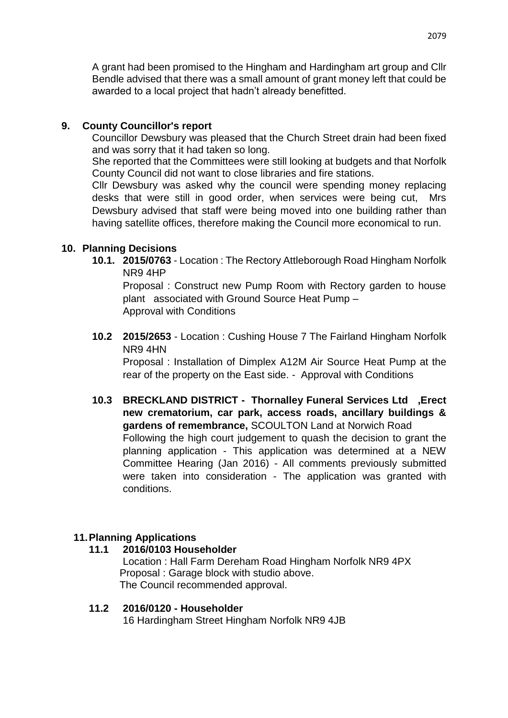A grant had been promised to the Hingham and Hardingham art group and Cllr Bendle advised that there was a small amount of grant money left that could be awarded to a local project that hadn't already benefitted.

## **9. County Councillor's report**

Councillor Dewsbury was pleased that the Church Street drain had been fixed and was sorry that it had taken so long.

She reported that the Committees were still looking at budgets and that Norfolk County Council did not want to close libraries and fire stations.

Cllr Dewsbury was asked why the council were spending money replacing desks that were still in good order, when services were being cut, Mrs Dewsbury advised that staff were being moved into one building rather than having satellite offices, therefore making the Council more economical to run.

## **10. Planning Decisions**

**10.1. 2015/0763** - Location : The Rectory Attleborough Road Hingham Norfolk NR9 4HP

Proposal : Construct new Pump Room with Rectory garden to house plant associated with Ground Source Heat Pump – Approval with Conditions

**10.2 2015/2653** - Location : Cushing House 7 The Fairland Hingham Norfolk NR9 4HN

Proposal : Installation of Dimplex A12M Air Source Heat Pump at the rear of the property on the East side. - Approval with Conditions

**10.3 BRECKLAND DISTRICT - Thornalley Funeral Services Ltd ,Erect new crematorium, car park, access roads, ancillary buildings & gardens of remembrance,** SCOULTON Land at Norwich Road Following the high court judgement to quash the decision to grant the planning application - This application was determined at a NEW Committee Hearing (Jan 2016) - All comments previously submitted were taken into consideration - The application was granted with conditions.

## **11.Planning Applications**

## **11.1 2016/0103 Householder**

Location : Hall Farm Dereham Road Hingham Norfolk NR9 4PX Proposal : Garage block with studio above. The Council recommended approval.

## **11.2 2016/0120 - Householder**

16 Hardingham Street Hingham Norfolk NR9 4JB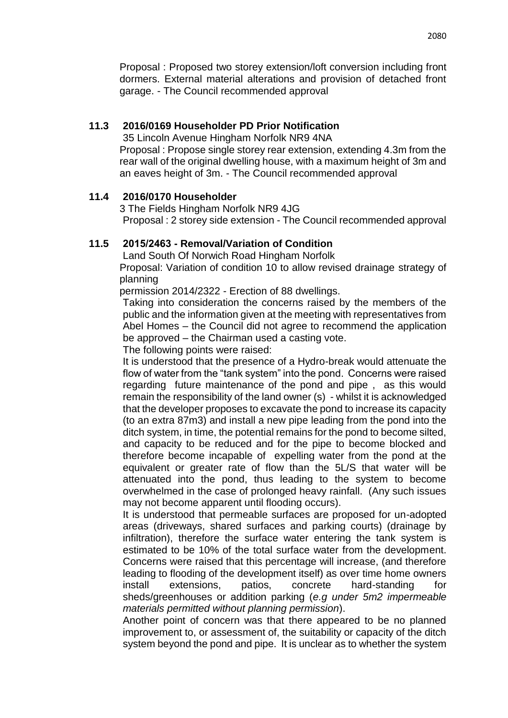Proposal : Proposed two storey extension/loft conversion including front dormers. External material alterations and provision of detached front garage. - The Council recommended approval

## **11.3 2016/0169 Householder PD Prior Notification**

35 Lincoln Avenue Hingham Norfolk NR9 4NA Proposal : Propose single storey rear extension, extending 4.3m from the rear wall of the original dwelling house, with a maximum height of 3m and an eaves height of 3m. - The Council recommended approval

## **11.4 2016/0170 Householder**

3 The Fields Hingham Norfolk NR9 4JG Proposal : 2 storey side extension - The Council recommended approval

## **11.5 2015/2463 - Removal/Variation of Condition**

Land South Of Norwich Road Hingham Norfolk

Proposal: Variation of condition 10 to allow revised drainage strategy of planning

permission 2014/2322 - Erection of 88 dwellings.

Taking into consideration the concerns raised by the members of the public and the information given at the meeting with representatives from Abel Homes – the Council did not agree to recommend the application be approved – the Chairman used a casting vote.

The following points were raised:

It is understood that the presence of a Hydro-break would attenuate the flow of water from the "tank system" into the pond. Concerns were raised regarding future maintenance of the pond and pipe , as this would remain the responsibility of the land owner (s) - whilst it is acknowledged that the developer proposes to excavate the pond to increase its capacity (to an extra 87m3) and install a new pipe leading from the pond into the ditch system, in time, the potential remains for the pond to become silted, and capacity to be reduced and for the pipe to become blocked and therefore become incapable of expelling water from the pond at the equivalent or greater rate of flow than the 5L/S that water will be attenuated into the pond, thus leading to the system to become overwhelmed in the case of prolonged heavy rainfall. (Any such issues may not become apparent until flooding occurs).

It is understood that permeable surfaces are proposed for un-adopted areas (driveways, shared surfaces and parking courts) (drainage by infiltration), therefore the surface water entering the tank system is estimated to be 10% of the total surface water from the development. Concerns were raised that this percentage will increase, (and therefore leading to flooding of the development itself) as over time home owners install extensions, patios, concrete hard-standing for sheds/greenhouses or addition parking (*e.g under 5m2 impermeable materials permitted without planning permission*).

Another point of concern was that there appeared to be no planned improvement to, or assessment of, the suitability or capacity of the ditch system beyond the pond and pipe. It is unclear as to whether the system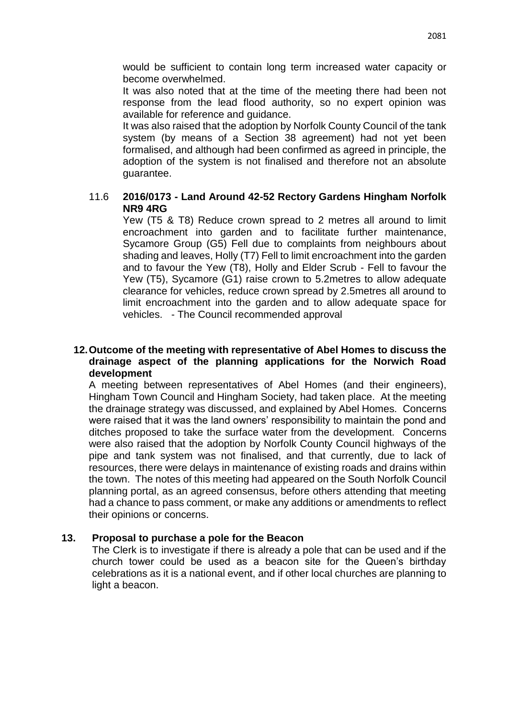would be sufficient to contain long term increased water capacity or become overwhelmed.

It was also noted that at the time of the meeting there had been not response from the lead flood authority, so no expert opinion was available for reference and guidance.

It was also raised that the adoption by Norfolk County Council of the tank system (by means of a Section 38 agreement) had not yet been formalised, and although had been confirmed as agreed in principle, the adoption of the system is not finalised and therefore not an absolute guarantee.

## 11.6 **2016/0173 - Land Around 42-52 Rectory Gardens Hingham Norfolk NR9 4RG**

Yew (T5 & T8) Reduce crown spread to 2 metres all around to limit encroachment into garden and to facilitate further maintenance, Sycamore Group (G5) Fell due to complaints from neighbours about shading and leaves, Holly (T7) Fell to limit encroachment into the garden and to favour the Yew (T8), Holly and Elder Scrub - Fell to favour the Yew (T5), Sycamore (G1) raise crown to 5.2metres to allow adequate clearance for vehicles, reduce crown spread by 2.5metres all around to limit encroachment into the garden and to allow adequate space for vehicles. - The Council recommended approval

## **12.Outcome of the meeting with representative of Abel Homes to discuss the drainage aspect of the planning applications for the Norwich Road development**

A meeting between representatives of Abel Homes (and their engineers), Hingham Town Council and Hingham Society, had taken place. At the meeting the drainage strategy was discussed, and explained by Abel Homes. Concerns were raised that it was the land owners' responsibility to maintain the pond and ditches proposed to take the surface water from the development. Concerns were also raised that the adoption by Norfolk County Council highways of the pipe and tank system was not finalised, and that currently, due to lack of resources, there were delays in maintenance of existing roads and drains within the town. The notes of this meeting had appeared on the South Norfolk Council planning portal, as an agreed consensus, before others attending that meeting had a chance to pass comment, or make any additions or amendments to reflect their opinions or concerns.

## **13. Proposal to purchase a pole for the Beacon**

The Clerk is to investigate if there is already a pole that can be used and if the church tower could be used as a beacon site for the Queen's birthday celebrations as it is a national event, and if other local churches are planning to light a beacon.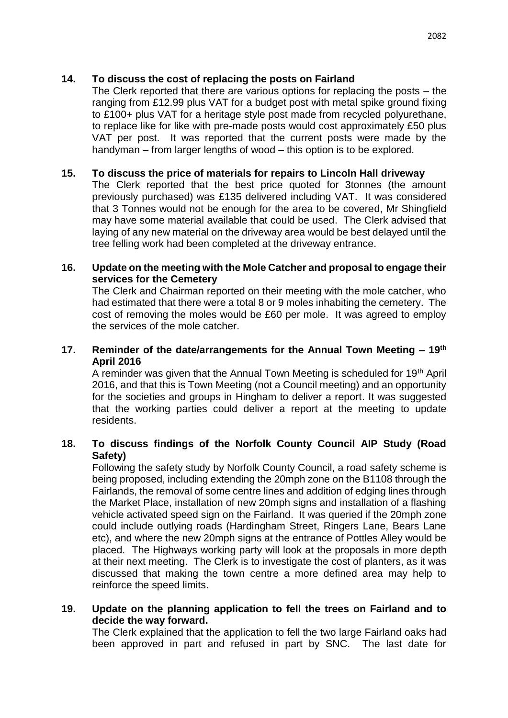The Clerk reported that there are various options for replacing the posts – the ranging from £12.99 plus VAT for a budget post with metal spike ground fixing to £100+ plus VAT for a heritage style post made from recycled polyurethane, to replace like for like with pre-made posts would cost approximately £50 plus VAT per post. It was reported that the current posts were made by the handyman – from larger lengths of wood – this option is to be explored.

## **15. To discuss the price of materials for repairs to Lincoln Hall driveway**

The Clerk reported that the best price quoted for 3tonnes (the amount previously purchased) was £135 delivered including VAT. It was considered that 3 Tonnes would not be enough for the area to be covered, Mr Shingfield may have some material available that could be used. The Clerk advised that laying of any new material on the driveway area would be best delayed until the tree felling work had been completed at the driveway entrance.

## **16. Update on the meeting with the Mole Catcher and proposal to engage their services for the Cemetery**

The Clerk and Chairman reported on their meeting with the mole catcher, who had estimated that there were a total 8 or 9 moles inhabiting the cemetery. The cost of removing the moles would be £60 per mole. It was agreed to employ the services of the mole catcher.

## **17. Reminder of the date/arrangements for the Annual Town Meeting – 19th April 2016**

A reminder was given that the Annual Town Meeting is scheduled for 19th April 2016, and that this is Town Meeting (not a Council meeting) and an opportunity for the societies and groups in Hingham to deliver a report. It was suggested that the working parties could deliver a report at the meeting to update residents.

## **18. To discuss findings of the Norfolk County Council AIP Study (Road Safety)**

Following the safety study by Norfolk County Council, a road safety scheme is being proposed, including extending the 20mph zone on the B1108 through the Fairlands, the removal of some centre lines and addition of edging lines through the Market Place, installation of new 20mph signs and installation of a flashing vehicle activated speed sign on the Fairland. It was queried if the 20mph zone could include outlying roads (Hardingham Street, Ringers Lane, Bears Lane etc), and where the new 20mph signs at the entrance of Pottles Alley would be placed. The Highways working party will look at the proposals in more depth at their next meeting. The Clerk is to investigate the cost of planters, as it was discussed that making the town centre a more defined area may help to reinforce the speed limits.

## **19. Update on the planning application to fell the trees on Fairland and to decide the way forward.**

The Clerk explained that the application to fell the two large Fairland oaks had been approved in part and refused in part by SNC. The last date for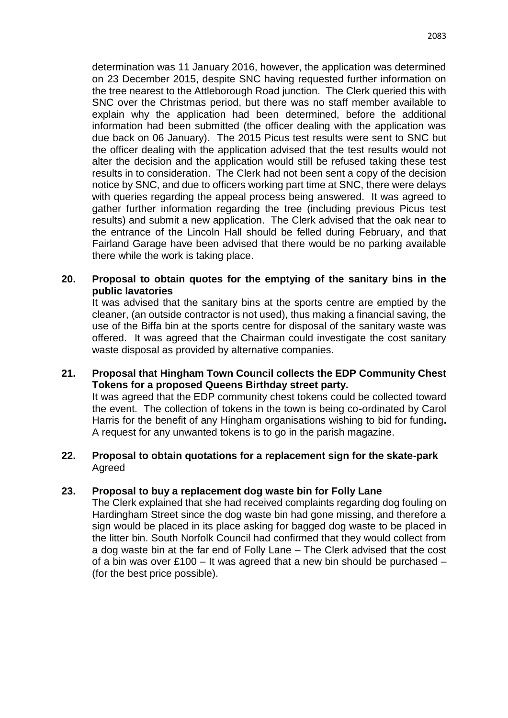determination was 11 January 2016, however, the application was determined on 23 December 2015, despite SNC having requested further information on the tree nearest to the Attleborough Road junction. The Clerk queried this with SNC over the Christmas period, but there was no staff member available to explain why the application had been determined, before the additional information had been submitted (the officer dealing with the application was due back on 06 January). The 2015 Picus test results were sent to SNC but the officer dealing with the application advised that the test results would not alter the decision and the application would still be refused taking these test results in to consideration. The Clerk had not been sent a copy of the decision notice by SNC, and due to officers working part time at SNC, there were delays with queries regarding the appeal process being answered. It was agreed to gather further information regarding the tree (including previous Picus test results) and submit a new application. The Clerk advised that the oak near to the entrance of the Lincoln Hall should be felled during February, and that Fairland Garage have been advised that there would be no parking available there while the work is taking place.

## **20. Proposal to obtain quotes for the emptying of the sanitary bins in the public lavatories**

It was advised that the sanitary bins at the sports centre are emptied by the cleaner, (an outside contractor is not used), thus making a financial saving, the use of the Biffa bin at the sports centre for disposal of the sanitary waste was offered. It was agreed that the Chairman could investigate the cost sanitary waste disposal as provided by alternative companies.

## **21. Proposal that Hingham Town Council collects the EDP Community Chest Tokens for a proposed Queens Birthday street party.**

It was agreed that the EDP community chest tokens could be collected toward the event. The collection of tokens in the town is being co-ordinated by Carol Harris for the benefit of any Hingham organisations wishing to bid for funding**.**  A request for any unwanted tokens is to go in the parish magazine.

## **22. Proposal to obtain quotations for a replacement sign for the skate-park** Agreed

## **23. Proposal to buy a replacement dog waste bin for Folly Lane**

The Clerk explained that she had received complaints regarding dog fouling on Hardingham Street since the dog waste bin had gone missing, and therefore a sign would be placed in its place asking for bagged dog waste to be placed in the litter bin. South Norfolk Council had confirmed that they would collect from a dog waste bin at the far end of Folly Lane – The Clerk advised that the cost of a bin was over £100 – It was agreed that a new bin should be purchased – (for the best price possible).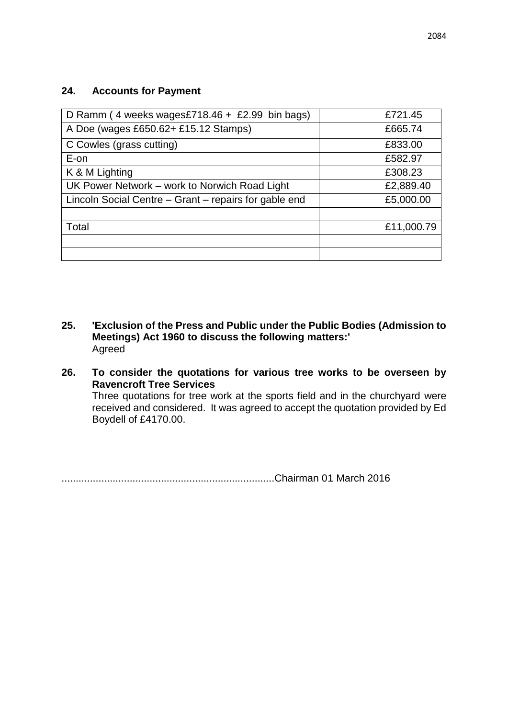## **24. Accounts for Payment**

| D Ramm (4 weeks wages£718.46 + £2.99 bin bags)        | £721.45    |
|-------------------------------------------------------|------------|
| A Doe (wages £650.62+ £15.12 Stamps)                  | £665.74    |
| C Cowles (grass cutting)                              | £833.00    |
| E-on                                                  | £582.97    |
| K & M Lighting                                        | £308.23    |
| UK Power Network – work to Norwich Road Light         | £2,889.40  |
| Lincoln Social Centre – Grant – repairs for gable end | £5,000.00  |
|                                                       |            |
| Total                                                 | £11,000.79 |
|                                                       |            |
|                                                       |            |

- **25. 'Exclusion of the Press and Public under the Public Bodies (Admission to Meetings) Act 1960 to discuss the following matters:'** Agreed
- **26. To consider the quotations for various tree works to be overseen by Ravencroft Tree Services** Three quotations for tree work at the sports field and in the churchyard were received and considered. It was agreed to accept the quotation provided by Ed Boydell of £4170.00.

...........................................................................Chairman 01 March 2016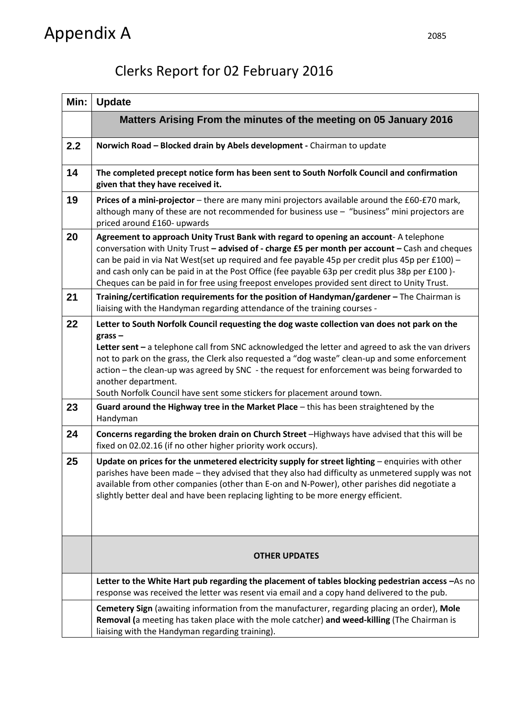## Appendix A

## Clerks Report for 02 February 2016

| Min: | <b>Update</b>                                                                                                                                                                                                                                                                                                                                                                                                                                                                                                       |
|------|---------------------------------------------------------------------------------------------------------------------------------------------------------------------------------------------------------------------------------------------------------------------------------------------------------------------------------------------------------------------------------------------------------------------------------------------------------------------------------------------------------------------|
|      | Matters Arising From the minutes of the meeting on 05 January 2016                                                                                                                                                                                                                                                                                                                                                                                                                                                  |
| 2.2  | Norwich Road - Blocked drain by Abels development - Chairman to update                                                                                                                                                                                                                                                                                                                                                                                                                                              |
| 14   | The completed precept notice form has been sent to South Norfolk Council and confirmation<br>given that they have received it.                                                                                                                                                                                                                                                                                                                                                                                      |
| 19   | Prices of a mini-projector - there are many mini projectors available around the £60-£70 mark,<br>although many of these are not recommended for business use - "business" mini projectors are<br>priced around £160- upwards                                                                                                                                                                                                                                                                                       |
| 20   | Agreement to approach Unity Trust Bank with regard to opening an account- A telephone<br>conversation with Unity Trust - advised of - charge £5 per month per account - Cash and cheques<br>can be paid in via Nat West(set up required and fee payable 45p per credit plus 45p per £100) -<br>and cash only can be paid in at the Post Office (fee payable 63p per credit plus 38p per £100)-<br>Cheques can be paid in for free using freepost envelopes provided sent direct to Unity Trust.                     |
| 21   | Training/certification requirements for the position of Handyman/gardener - The Chairman is<br>liaising with the Handyman regarding attendance of the training courses -                                                                                                                                                                                                                                                                                                                                            |
| 22   | Letter to South Norfolk Council requesting the dog waste collection van does not park on the<br>$grass -$<br>Letter sent - a telephone call from SNC acknowledged the letter and agreed to ask the van drivers<br>not to park on the grass, the Clerk also requested a "dog waste" clean-up and some enforcement<br>action - the clean-up was agreed by SNC - the request for enforcement was being forwarded to<br>another department.<br>South Norfolk Council have sent some stickers for placement around town. |
| 23   | Guard around the Highway tree in the Market Place - this has been straightened by the<br>Handyman                                                                                                                                                                                                                                                                                                                                                                                                                   |
| 24   | Concerns regarding the broken drain on Church Street -Highways have advised that this will be<br>fixed on 02.02.16 (if no other higher priority work occurs).                                                                                                                                                                                                                                                                                                                                                       |
| 25   | Update on prices for the unmetered electricity supply for street lighting - enquiries with other<br>parishes have been made - they advised that they also had difficulty as unmetered supply was not<br>available from other companies (other than E-on and N-Power), other parishes did negotiate a<br>slightly better deal and have been replacing lighting to be more energy efficient.                                                                                                                          |
|      | <b>OTHER UPDATES</b>                                                                                                                                                                                                                                                                                                                                                                                                                                                                                                |
|      | Letter to the White Hart pub regarding the placement of tables blocking pedestrian access -As no<br>response was received the letter was resent via email and a copy hand delivered to the pub.                                                                                                                                                                                                                                                                                                                     |
|      | Cemetery Sign (awaiting information from the manufacturer, regarding placing an order), Mole<br>Removal (a meeting has taken place with the mole catcher) and weed-killing (The Chairman is<br>liaising with the Handyman regarding training).                                                                                                                                                                                                                                                                      |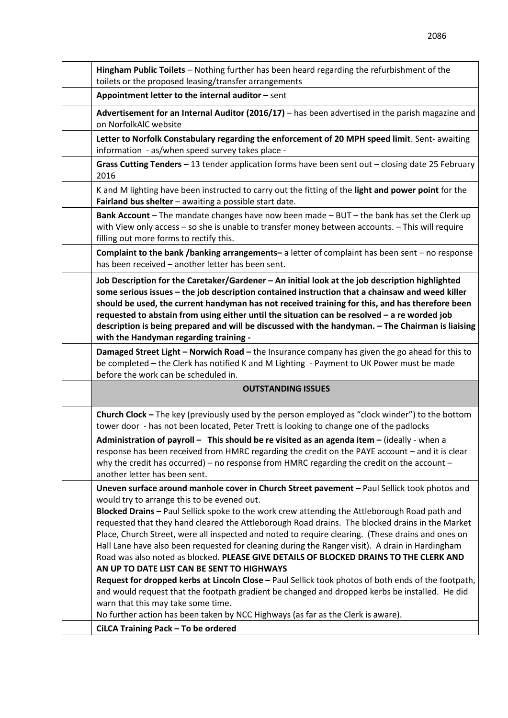| Hingham Public Toilets - Nothing further has been heard regarding the refurbishment of the<br>toilets or the proposed leasing/transfer arrangements                                                                                                                                                                                                                                                                                                                                                                                                                                                                                                                                                                                                                                                                                                                                                                                                                                                                                |
|------------------------------------------------------------------------------------------------------------------------------------------------------------------------------------------------------------------------------------------------------------------------------------------------------------------------------------------------------------------------------------------------------------------------------------------------------------------------------------------------------------------------------------------------------------------------------------------------------------------------------------------------------------------------------------------------------------------------------------------------------------------------------------------------------------------------------------------------------------------------------------------------------------------------------------------------------------------------------------------------------------------------------------|
| Appointment letter to the internal auditor - sent                                                                                                                                                                                                                                                                                                                                                                                                                                                                                                                                                                                                                                                                                                                                                                                                                                                                                                                                                                                  |
| Advertisement for an Internal Auditor (2016/17) - has been advertised in the parish magazine and<br>on NorfolkAIC website                                                                                                                                                                                                                                                                                                                                                                                                                                                                                                                                                                                                                                                                                                                                                                                                                                                                                                          |
| Letter to Norfolk Constabulary regarding the enforcement of 20 MPH speed limit. Sent-awaiting<br>information - as/when speed survey takes place -                                                                                                                                                                                                                                                                                                                                                                                                                                                                                                                                                                                                                                                                                                                                                                                                                                                                                  |
| Grass Cutting Tenders - 13 tender application forms have been sent out - closing date 25 February<br>2016                                                                                                                                                                                                                                                                                                                                                                                                                                                                                                                                                                                                                                                                                                                                                                                                                                                                                                                          |
| K and M lighting have been instructed to carry out the fitting of the light and power point for the<br>Fairland bus shelter - awaiting a possible start date.                                                                                                                                                                                                                                                                                                                                                                                                                                                                                                                                                                                                                                                                                                                                                                                                                                                                      |
| Bank Account - The mandate changes have now been made - BUT - the bank has set the Clerk up<br>with View only access - so she is unable to transfer money between accounts. - This will require<br>filling out more forms to rectify this.                                                                                                                                                                                                                                                                                                                                                                                                                                                                                                                                                                                                                                                                                                                                                                                         |
| <b>Complaint to the bank /banking arrangements-</b> a letter of complaint has been sent - no response<br>has been received - another letter has been sent.                                                                                                                                                                                                                                                                                                                                                                                                                                                                                                                                                                                                                                                                                                                                                                                                                                                                         |
| Job Description for the Caretaker/Gardener - An initial look at the job description highlighted<br>some serious issues - the job description contained instruction that a chainsaw and weed killer<br>should be used, the current handyman has not received training for this, and has therefore been<br>requested to abstain from using either until the situation can be resolved - a re worded job<br>description is being prepared and will be discussed with the handyman. - The Chairman is liaising<br>with the Handyman regarding training -                                                                                                                                                                                                                                                                                                                                                                                                                                                                               |
| Damaged Street Light - Norwich Road - the Insurance company has given the go ahead for this to<br>be completed - the Clerk has notified K and M Lighting - Payment to UK Power must be made<br>before the work can be scheduled in.                                                                                                                                                                                                                                                                                                                                                                                                                                                                                                                                                                                                                                                                                                                                                                                                |
| <b>OUTSTANDING ISSUES</b>                                                                                                                                                                                                                                                                                                                                                                                                                                                                                                                                                                                                                                                                                                                                                                                                                                                                                                                                                                                                          |
| Church Clock - The key (previously used by the person employed as "clock winder") to the bottom<br>tower door - has not been located, Peter Trett is looking to change one of the padlocks                                                                                                                                                                                                                                                                                                                                                                                                                                                                                                                                                                                                                                                                                                                                                                                                                                         |
| Administration of payroll - This should be re visited as an agenda item - (ideally - when a<br>response has been received from HMRC regarding the credit on the PAYE account - and it is clear<br>why the credit has occurred) – no response from HMRC regarding the credit on the account –<br>another letter has been sent.                                                                                                                                                                                                                                                                                                                                                                                                                                                                                                                                                                                                                                                                                                      |
| Uneven surface around manhole cover in Church Street pavement - Paul Sellick took photos and<br>would try to arrange this to be evened out.<br>Blocked Drains - Paul Sellick spoke to the work crew attending the Attleborough Road path and<br>requested that they hand cleared the Attleborough Road drains. The blocked drains in the Market<br>Place, Church Street, were all inspected and noted to require clearing. (These drains and ones on<br>Hall Lane have also been requested for cleaning during the Ranger visit). A drain in Hardingham<br>Road was also noted as blocked. PLEASE GIVE DETAILS OF BLOCKED DRAINS TO THE CLERK AND<br>AN UP TO DATE LIST CAN BE SENT TO HIGHWAYS<br>Request for dropped kerbs at Lincoln Close - Paul Sellick took photos of both ends of the footpath,<br>and would request that the footpath gradient be changed and dropped kerbs be installed. He did<br>warn that this may take some time.<br>No further action has been taken by NCC Highways (as far as the Clerk is aware). |
| CiLCA Training Pack - To be ordered                                                                                                                                                                                                                                                                                                                                                                                                                                                                                                                                                                                                                                                                                                                                                                                                                                                                                                                                                                                                |